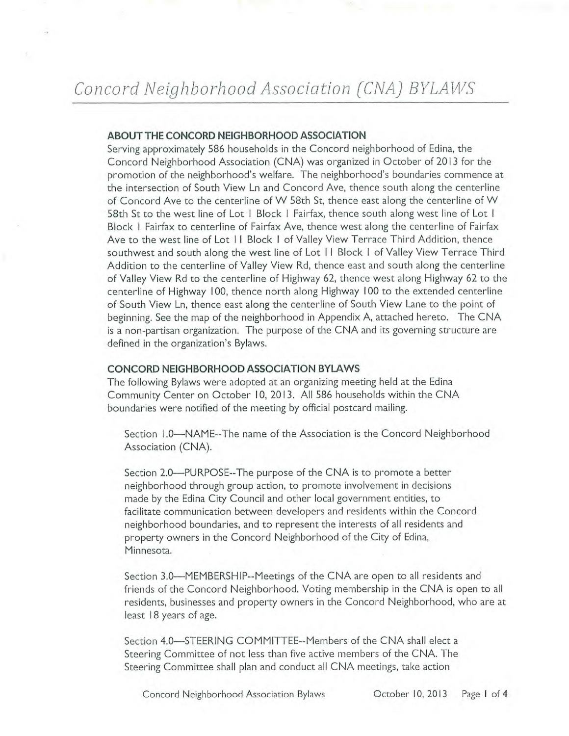## **ABOUT THE CONCORD NEIGHBORHOOD ASSOCIATION**

Serving approximately 586 households in the Concord neighborhood of Edina, the Concord Neighborhood Association (CNA) was organized in October of 2013 for the promotion of the neighborhood's welfare. The neighborhood's boundaries commence at the intersection of South View Ln and Concord Ave, thence south along the centerline of Concord Ave to the centerline of VV 58th St, thence east along the centerline of W 58th St to the west line of Lot 1 Block I Fairfax, thence south along west line of Lot 1 Block 1 Fairfax to centerline of Fairfax Ave, thence west along the centerline of Fairfax Ave to the west line of Lot 11 Block 1 of Valley View Terrace Third Addition, thence southwest and south along the west line of Lot 11 Block 1 of Valley View Terrace Third Addition to the centerline of Valley View Rd, thence east and south along the centerline of Valley View Rd to the centerline of Highway 62, thence west along Highway 62 to the centerline of Highway 100, thence north along Highway 100 to the extended centerline of South View Ln, thence east along the centerline of South View Lane to the point of beginning. See the map of the neighborhood in Appendix A, attached hereto. The CNA is a non-partisan organization. The purpose of the CNA and its governing structure are defined in the organization's Bylaws.

## **CONCORD NEIGHBORHOOD ASSOCIATION BYLAWS**

The following Bylaws were adopted at an organizing meeting held at the Edina Community Center on October 10, 2013. All 586 households within the CNA boundaries were notified of the meeting by official postcard mailing.

Section 1.0—NAME--The name of the Association is the Concord Neighborhood Association (CNA).

Section 2.0—PURPOSE--The purpose of the CNA is to promote a better neighborhood through group action, to promote involvement in decisions made by the Edina City Council and other local government entities, to facilitate communication between developers and residents within the Concord neighborhood boundaries, and to represent the interests of all residents and property owners in the Concord Neighborhood of the City of Edina, Minnesota.

Section 3.0—MEMBERSHIP--Meetings of the CNA are open to all residents and friends of the Concord Neighborhood. Voting membership in the CNA is open to all residents, businesses and property owners in the Concord Neighborhood, who are at least 18 years of age.

Section 4.0—STEERING COMMITTEE--Members of the CNA shall elect a Steering Committee of not less than five active members of the CNA. The Steering Committee shall plan and conduct all CNA meetings, take action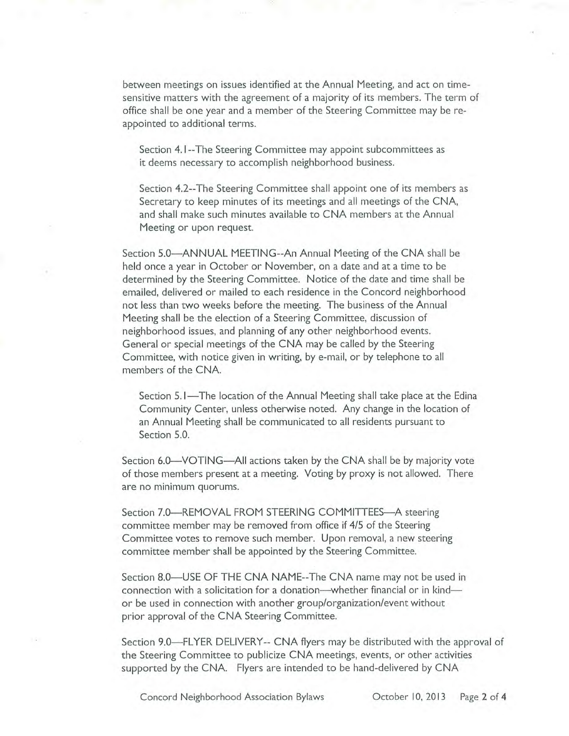between meetings on issues identified at the Annual Meeting, and act on timesensitive matters with the agreement of a majority of its members. The term of office shall be one year and a member of the Steering Committee may be reappointed to additional terms.

Section 4.I--The Steering Committee may appoint subcommittees as it deems necessary to accomplish neighborhood business.

Section 4.2--The Steering Committee shall appoint one of its members as Secretary to keep minutes of its meetings and all meetings of the CNA, and shall make such minutes available to CNA members at the Annual Meeting or upon request.

Section 5.0—ANNUAL MEETING--An Annual Meeting of the CNA shall be held once a year in October or November, on a date and at a time to be determined by the Steering Committee. Notice of the date and time shall be emailed, delivered or mailed to each residence in the Concord neighborhood not less than two weeks before the meeting. The business of the Annual Meeting shall be the election of a Steering Committee, discussion of neighborhood issues, and planning of any other neighborhood events. General or special meetings of the CNA may be called by the Steering Committee, with notice given in writing, by e-mail, or by telephone to all members of the CNA.

Section 5.I—The location of the Annual Meeting shall take place at the Edina Community Center, unless otherwise noted. Any change in the location of an Annual Meeting shall be communicated to all residents pursuant to Section 5.0.

Section 6.0—VOTING—All actions taken by the CNA shall be by majority vote of those members present at a meeting. Voting by proxy is not allowed. There are no minimum quorums.

Section 7.0—REMOVAL FROM STEERING COMMITTEES—A steering committee member may be removed from office if 4/5 of the Steering Committee votes to remove such member. Upon removal, a new steering committee member shall be appointed by the Steering Committee.

Section 8.0—USE OF THE CNA NAME--The CNA name may not be used in connection with a solicitation for a donation—whether financial or in kind or be used in connection with another group/organization/event without prior approval of the CNA Steering Committee.

Section 9.0—FLYER DELIVERY-- CNA flyers may be distributed with the approval of the Steering Committee to publicize CNA meetings, events, or other activities supported by the CNA. Flyers are intended to be hand-delivered by CNA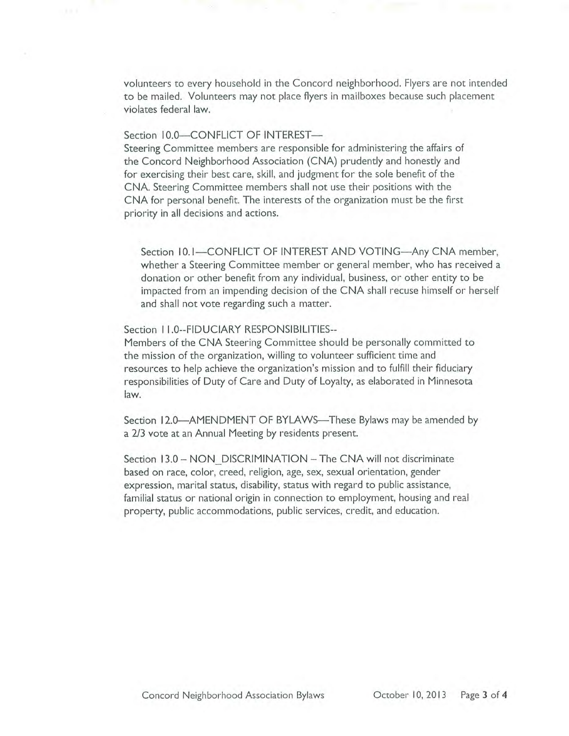volunteers to every household in the Concord neighborhood. Flyers are not intended to be mailed. Volunteers may not place flyers in mailboxes because such placement violates federal law.

### Section 10.0—CONFLICT OF INTEREST—

Steering Committee members are responsible for administering the affairs of the Concord Neighborhood Association (CNA) prudently and honestly and for exercising their best care, skill, and judgment for the sole benefit of the CNA. Steering Committee members shall not use their positions with the CNA for personal benefit. The interests of the organization must be the first priority in all decisions and actions.

Section 10.1—CONFLICT OF INTEREST AND VOTING—Any CNA member, whether a Steering Committee member or general member, who has received a donation or other benefit from any individual, business, or other entity to be impacted from an impending decision of the CNA shall recuse himself or herself and shall not vote regarding such a matter.

#### Section 11.0--FIDUCIARY RESPONSIBILITIES--

Members of the CNA Steering Committee should be personally committed to the mission of the organization, willing to volunteer sufficient time and resources to help achieve the organization's mission and to fulfill their fiduciary responsibilities of Duty of Care and Duty of Loyalty, as elaborated in Minnesota law.

Section I 2.0—AMENDMENT OF BYLAWS—These Bylaws may be amended by a 2/3 vote at an Annual Meeting by residents present.

Section 13.0 - NON DISCRIMINATION - The CNA will not discriminate based on race, color, creed, religion, age, sex, sexual orientation, gender expression, marital status, disability, status with regard to public assistance, familial status or national origin in connection to employment, housing and real property, public accommodations, public services, credit, and education.